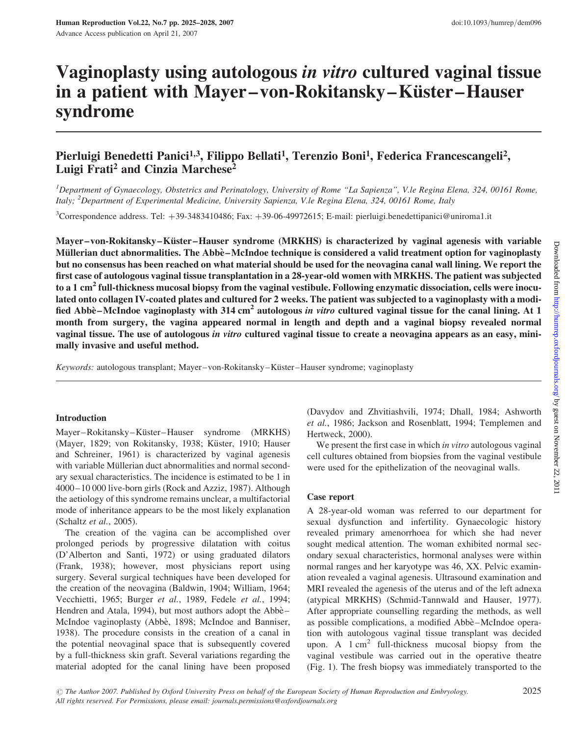# Vaginoplasty using autologous in vitro cultured vaginal tissue in a patient with Mayer–von-Rokitansky–Küster–Hauser syndrome

## Pierluigi Benedetti Panici<sup>1,3</sup>, Filippo Bellati<sup>1</sup>, Terenzio Boni<sup>1</sup>, Federica Francescangeli<sup>2</sup>, Luigi Frati<sup>2</sup> and Cinzia Marchese<sup>2</sup>

<sup>1</sup>Department of Gynaecology, Obstetrics and Perinatology, University of Rome "La Sapienza", V.le Regina Elena, 324, 00161 Rome, Italy; <sup>2</sup>Department of Experimental Medicine, University Sapienza, V.le Regina Elena, 324, 00161 Rome, Italy

<sup>3</sup>Correspondence address. Tel: +39-3483410486; Fax: +39-06-49972615; E-mail: pierluigi.benedettipanici@uniroma1.it

Mayer–von-Rokitansky–Küster–Hauser syndrome (MRKHS) is characterized by vaginal agenesis with variable Müllerian duct abnormalities. The Abbè-McIndoe technique is considered a valid treatment option for vaginoplasty but no consensus has been reached on what material should be used for the neovagina canal wall lining. We report the first case of autologous vaginal tissue transplantation in a 28-year-old women with MRKHS. The patient was subjected to a 1 cm<sup>2</sup> full-thickness mucosal biopsy from the vaginal vestibule. Following enzymatic dissociation, cells were inoculated onto collagen IV-coated plates and cultured for 2 weeks. The patient was subjected to a vaginoplasty with a modified Abbè – McIndoe vaginoplasty with 314 cm<sup>2</sup> autologous *in vitro* cultured vaginal tissue for the canal lining. At 1 month from surgery, the vagina appeared normal in length and depth and a vaginal biopsy revealed normal vaginal tissue. The use of autologous in vitro cultured vaginal tissue to create a neovagina appears as an easy, minimally invasive and useful method.

Keywords: autologous transplant; Mayer–von-Rokitansky–Küster–Hauser syndrome; vaginoplasty

### Introduction

Mayer–Rokitansky–Küster–Hauser syndrome (MRKHS) (Mayer, 1829; von Rokitansky, 1938; Küster, 1910; Hauser and Schreiner, 1961) is characterized by vaginal agenesis with variable Müllerian duct abnormalities and normal secondary sexual characteristics. The incidence is estimated to be 1 in 4000–10 000 live-born girls (Rock and Azziz, 1987). Although the aetiology of this syndrome remains unclear, a multifactorial mode of inheritance appears to be the most likely explanation (Schaltz et al., 2005).

The creation of the vagina can be accomplished over prolonged periods by progressive dilatation with coitus (D'Alberton and Santi, 1972) or using graduated dilators (Frank, 1938); however, most physicians report using surgery. Several surgical techniques have been developed for the creation of the neovagina (Baldwin, 1904; William, 1964; Vecchietti, 1965; Burger et al., 1989, Fedele et al., 1994; Hendren and Atala, 1994), but most authors adopt the Abbè-McIndoe vaginoplasty (Abbè, 1898; McIndoe and Banniser, 1938). The procedure consists in the creation of a canal in the potential neovaginal space that is subsequently covered by a full-thickness skin graft. Several variations regarding the material adopted for the canal lining have been proposed

(Davydov and Zhvitiashvili, 1974; Dhall, 1984; Ashworth et al., 1986; Jackson and Rosenblatt, 1994; Templemen and Hertweck, 2000).

We present the first case in which *in vitro* autologous vaginal cell cultures obtained from biopsies from the vaginal vestibule were used for the epithelization of the neovaginal walls.

### Case report

A 28-year-old woman was referred to our department for sexual dysfunction and infertility. Gynaecologic history revealed primary amenorrhoea for which she had never sought medical attention. The woman exhibited normal secondary sexual characteristics, hormonal analyses were within normal ranges and her karyotype was 46, XX. Pelvic examination revealed a vaginal agenesis. Ultrasound examination and MRI revealed the agenesis of the uterus and of the left adnexa (atypical MRKHS) (Schmid-Tannwald and Hauser, 1977). After appropriate counselling regarding the methods, as well as possible complications, a modified Abbè-McIndoe operation with autologous vaginal tissue transplant was decided upon. A  $1 \text{ cm}^2$  full-thickness mucosal biopsy from the vaginal vestibule was carried out in the operative theatre (Fig. 1). The fresh biopsy was immediately transported to the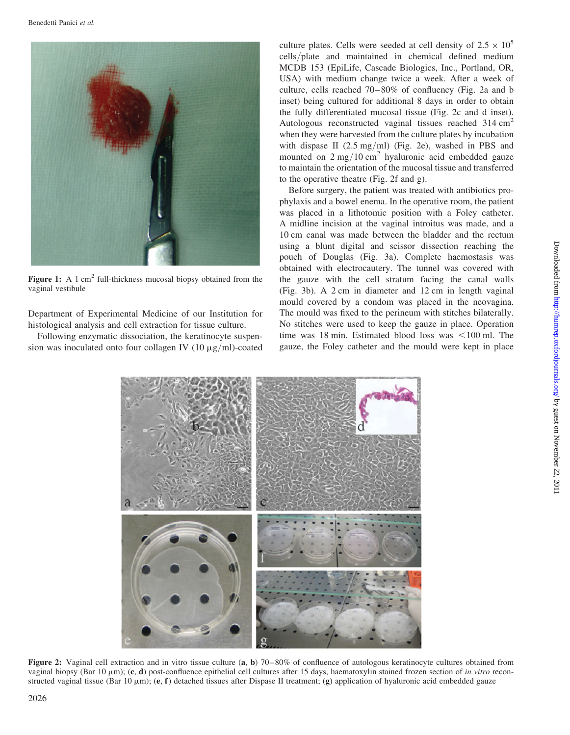

Figure 1: A 1 cm<sup>2</sup> full-thickness mucosal biopsy obtained from the vaginal vestibule

Department of Experimental Medicine of our Institution for histological analysis and cell extraction for tissue culture.

Following enzymatic dissociation, the keratinocyte suspension was inoculated onto four collagen IV (10  $\mu$ g/ml)-coated

culture plates. Cells were seeded at cell density of  $2.5 \times 10^5$ cells/plate and maintained in chemical defined medium MCDB 153 (EpiLife, Cascade Biologics, Inc., Portland, OR, USA) with medium change twice a week. After a week of culture, cells reached 70–80% of confluency (Fig. 2a and b inset) being cultured for additional 8 days in order to obtain the fully differentiated mucosal tissue (Fig. 2c and d inset). Autologous reconstructed vaginal tissues reached  $314 \text{ cm}^2$ when they were harvested from the culture plates by incubation with dispase II  $(2.5 \text{ mg/ml})$  (Fig. 2e), washed in PBS and mounted on  $2 \text{ mg}/10 \text{ cm}^2$  hyaluronic acid embedded gauze to maintain the orientation of the mucosal tissue and transferred to the operative theatre (Fig. 2f and g).

Before surgery, the patient was treated with antibiotics prophylaxis and a bowel enema. In the operative room, the patient was placed in a lithotomic position with a Foley catheter. A midline incision at the vaginal introitus was made, and a 10 cm canal was made between the bladder and the rectum using a blunt digital and scissor dissection reaching the pouch of Douglas (Fig. 3a). Complete haemostasis was obtained with electrocautery. The tunnel was covered with the gauze with the cell stratum facing the canal walls (Fig. 3b). A 2 cm in diameter and 12 cm in length vaginal mould covered by a condom was placed in the neovagina. The mould was fixed to the perineum with stitches bilaterally. No stitches were used to keep the gauze in place. Operation time was 18 min. Estimated blood loss was  $\leq 100$  ml. The gauze, the Foley catheter and the mould were kept in place



Figure 2: Vaginal cell extraction and in vitro tissue culture (a, b) 70–80% of confluence of autologous keratinocyte cultures obtained from vaginal biopsy (Bar 10  $\mu$ m); (c, d) post-confluence epithelial cell cultures after 15 days, haematoxylin stained frozen section of in vitro reconstructed vaginal tissue (Bar 10  $\mu$ m); (e, f) detached tissues after Dispase II treatment; (g) application of hyaluronic acid embedded gauze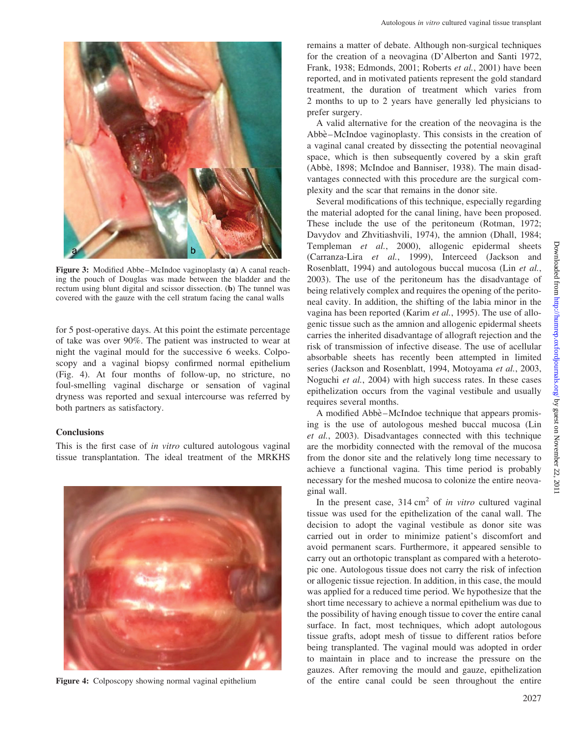

Figure 3: Modified Abbe–McIndoe vaginoplasty (a) A canal reaching the pouch of Douglas was made between the bladder and the rectum using blunt digital and scissor dissection. (b) The tunnel was covered with the gauze with the cell stratum facing the canal walls

for 5 post-operative days. At this point the estimate percentage of take was over 90%. The patient was instructed to wear at night the vaginal mould for the successive 6 weeks. Colposcopy and a vaginal biopsy confirmed normal epithelium (Fig. 4). At four months of follow-up, no stricture, no foul-smelling vaginal discharge or sensation of vaginal dryness was reported and sexual intercourse was referred by both partners as satisfactory.

### **Conclusions**

This is the first case of in vitro cultured autologous vaginal tissue transplantation. The ideal treatment of the MRKHS



Figure 4: Colposcopy showing normal vaginal epithelium

remains a matter of debate. Although non-surgical techniques for the creation of a neovagina (D'Alberton and Santi 1972, Frank, 1938; Edmonds, 2001; Roberts et al., 2001) have been reported, and in motivated patients represent the gold standard treatment, the duration of treatment which varies from 2 months to up to 2 years have generally led physicians to prefer surgery.

A valid alternative for the creation of the neovagina is the Abbè – McIndoe vaginoplasty. This consists in the creation of a vaginal canal created by dissecting the potential neovaginal space, which is then subsequently covered by a skin graft (Abbè, 1898; McIndoe and Banniser, 1938). The main disadvantages connected with this procedure are the surgical complexity and the scar that remains in the donor site.

Several modifications of this technique, especially regarding the material adopted for the canal lining, have been proposed. These include the use of the peritoneum (Rotman, 1972; Davydov and Zhvitiashvili, 1974), the amnion (Dhall, 1984; Templeman et al., 2000), allogenic epidermal sheets (Carranza-Lira et al., 1999), Interceed (Jackson and Rosenblatt, 1994) and autologous buccal mucosa (Lin et al., 2003). The use of the peritoneum has the disadvantage of being relatively complex and requires the opening of the peritoneal cavity. In addition, the shifting of the labia minor in the vagina has been reported (Karim et al., 1995). The use of allogenic tissue such as the amnion and allogenic epidermal sheets carries the inherited disadvantage of allograft rejection and the risk of transmission of infective disease. The use of acellular absorbable sheets has recently been attempted in limited series (Jackson and Rosenblatt, 1994, Motoyama et al., 2003, Noguchi et al., 2004) with high success rates. In these cases epithelization occurs from the vaginal vestibule and usually requires several months.

A modified Abbe<sup>-</sup>McIndoe technique that appears promising is the use of autologous meshed buccal mucosa (Lin et al., 2003). Disadvantages connected with this technique are the morbidity connected with the removal of the mucosa from the donor site and the relatively long time necessary to achieve a functional vagina. This time period is probably necessary for the meshed mucosa to colonize the entire neovaginal wall.

In the present case,  $314 \text{ cm}^2$  of *in vitro* cultured vaginal tissue was used for the epithelization of the canal wall. The decision to adopt the vaginal vestibule as donor site was carried out in order to minimize patient's discomfort and avoid permanent scars. Furthermore, it appeared sensible to carry out an orthotopic transplant as compared with a heterotopic one. Autologous tissue does not carry the risk of infection or allogenic tissue rejection. In addition, in this case, the mould was applied for a reduced time period. We hypothesize that the short time necessary to achieve a normal epithelium was due to the possibility of having enough tissue to cover the entire canal surface. In fact, most techniques, which adopt autologous tissue grafts, adopt mesh of tissue to different ratios before being transplanted. The vaginal mould was adopted in order to maintain in place and to increase the pressure on the gauzes. After removing the mould and gauze, epithelization of the entire canal could be seen throughout the entire